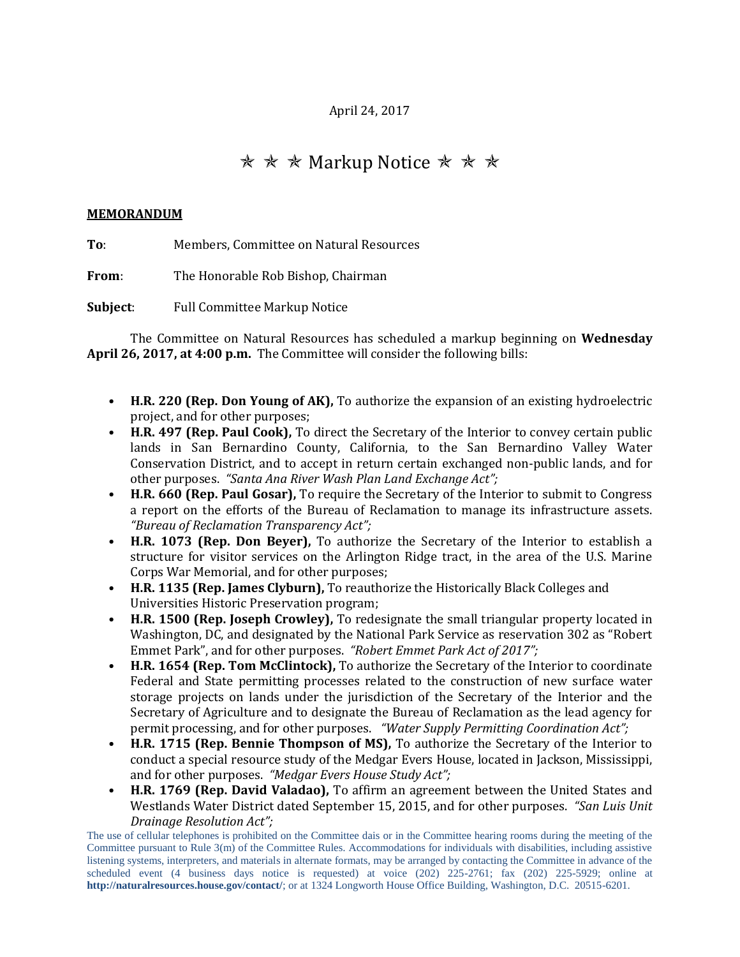## April 24, 2017

## **★ ★ ★ Markup Notice ★ ★ ★**

## **MEMORANDUM**

**To**: Members, Committee on Natural Resources

**From**: The Honorable Rob Bishop, Chairman

**Subject**: Full Committee Markup Notice

The Committee on Natural Resources has scheduled a markup beginning on **Wednesday April 26, 2017, at 4:00 p.m.** The Committee will consider the following bills:

- **H.R. 220 (Rep. Don Young of AK),** To authorize the expansion of an existing hydroelectric project, and for other purposes;
- **H.R. 497 (Rep. Paul Cook),** To direct the Secretary of the Interior to convey certain public lands in San Bernardino County, California, to the San Bernardino Valley Water Conservation District, and to accept in return certain exchanged non-public lands, and for other purposes. *"Santa Ana River Wash Plan Land Exchange Act";*
- **H.R. 660 (Rep. Paul Gosar),** To require the Secretary of the Interior to submit to Congress a report on the efforts of the Bureau of Reclamation to manage its infrastructure assets. *"Bureau of Reclamation Transparency Act";*
- **H.R. 1073 (Rep. Don Beyer),** To authorize the Secretary of the Interior to establish a structure for visitor services on the Arlington Ridge tract, in the area of the U.S. Marine Corps War Memorial, and for other purposes;
- **H.R. 1135 (Rep. James Clyburn),** To reauthorize the Historically Black Colleges and Universities Historic Preservation program;
- **H.R. 1500 (Rep. Joseph Crowley),** To redesignate the small triangular property located in Washington, DC, and designated by the National Park Service as reservation 302 as "Robert Emmet Park", and for other purposes. *"Robert Emmet Park Act of 2017";*
- **H.R. 1654 (Rep. Tom McClintock),** To authorize the Secretary of the Interior to coordinate Federal and State permitting processes related to the construction of new surface water storage projects on lands under the jurisdiction of the Secretary of the Interior and the Secretary of Agriculture and to designate the Bureau of Reclamation as the lead agency for permit processing, and for other purposes. *"Water Supply Permitting Coordination Act";*
- **H.R. 1715 (Rep. Bennie Thompson of MS),** To authorize the Secretary of the Interior to conduct a special resource study of the Medgar Evers House, located in Jackson, Mississippi, and for other purposes. *"Medgar Evers House Study Act";*
- **H.R. 1769 (Rep. David Valadao),** To affirm an agreement between the United States and Westlands Water District dated September 15, 2015, and for other purposes. *"San Luis Unit Drainage Resolution Act";*

The use of cellular telephones is prohibited on the Committee dais or in the Committee hearing rooms during the meeting of the Committee pursuant to Rule 3(m) of the Committee Rules. Accommodations for individuals with disabilities, including assistive listening systems, interpreters, and materials in alternate formats, may be arranged by contacting the Committee in advance of the scheduled event (4 business days notice is requested) at voice (202) 225-2761; fax (202) 225-5929; online at **http://naturalresources.house.gov/contact/**; or at 1324 Longworth House Office Building, Washington, D.C. 20515-6201.